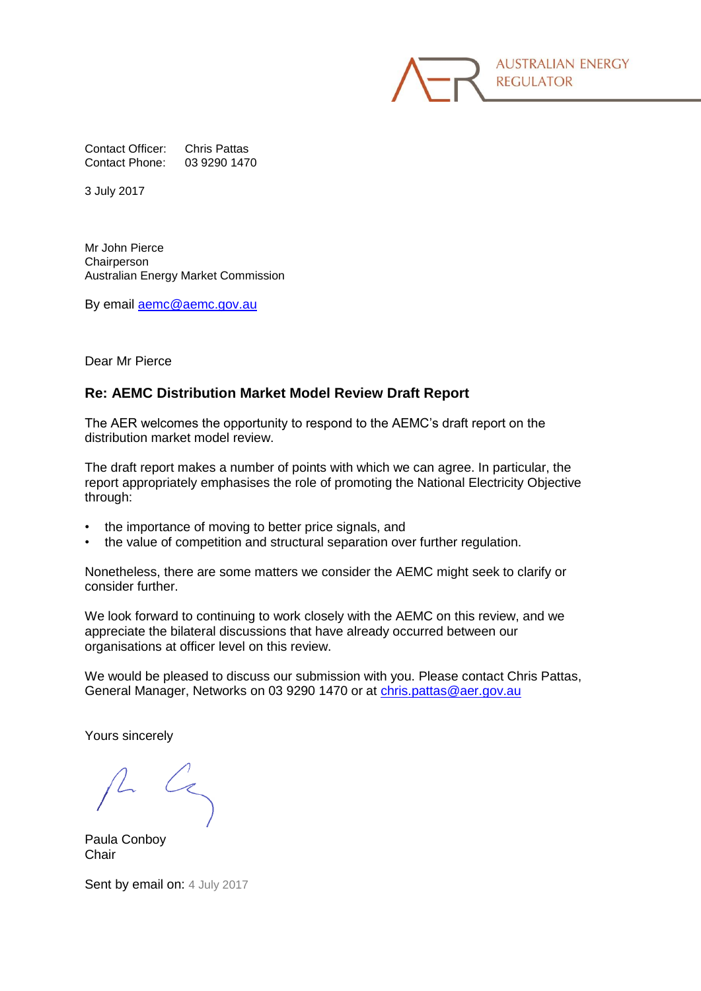**AUSTRALIAN ENERGY REGULATOR** 

Contact Officer: Chris Pattas Contact Phone: 03 9290 1470

3 July 2017

Mr John Pierce **Chairperson** Australian Energy Market Commission

By email [aemc@aemc.gov.au](mailto:aemc@aemc.gov.au)

Dear Mr Pierce

### **Re: AEMC Distribution Market Model Review Draft Report**

The AER welcomes the opportunity to respond to the AEMC's draft report on the distribution market model review.

The draft report makes a number of points with which we can agree. In particular, the report appropriately emphasises the role of promoting the National Electricity Objective through:

- the importance of moving to better price signals, and
- the value of competition and structural separation over further regulation.

Nonetheless, there are some matters we consider the AEMC might seek to clarify or consider further.

We look forward to continuing to work closely with the AEMC on this review, and we appreciate the bilateral discussions that have already occurred between our organisations at officer level on this review.

We would be pleased to discuss our submission with you. Please contact Chris Pattas, General Manager, Networks on 03 9290 1470 or at [chris.pattas@aer.gov.au](mailto:chris.pattas@aer.gov.au)

Yours sincerely

Paula Conboy **Chair** 

Sent by email on: 4 July 2017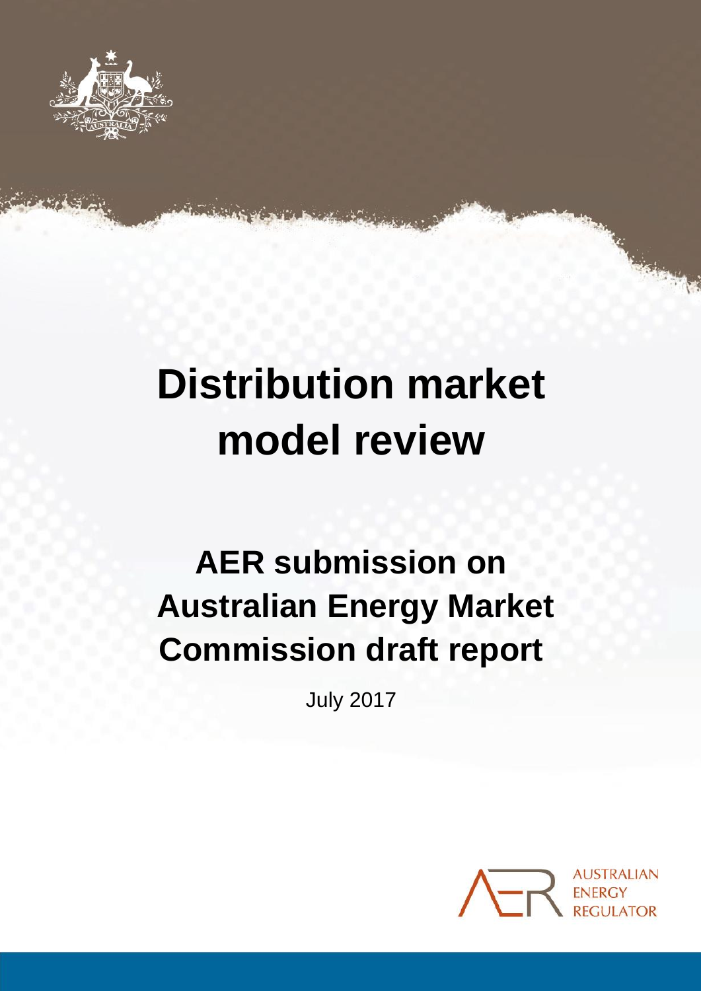

# **Distribution market model review**

## **AER submission on Australian Energy Market Commission draft report**

July 2017

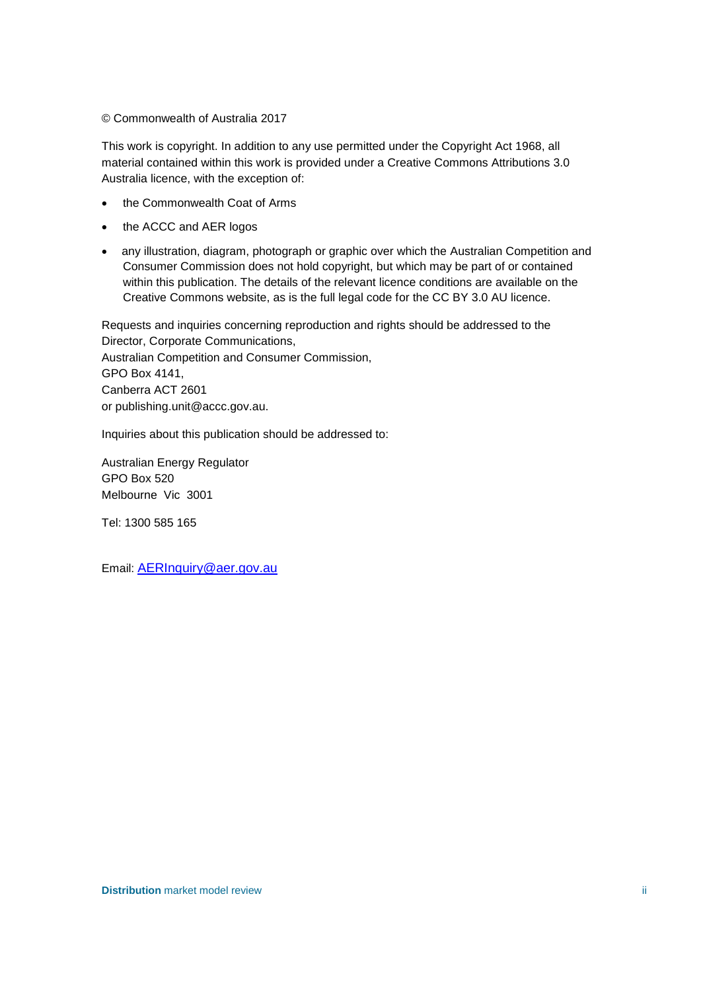© Commonwealth of Australia 2017

This work is copyright. In addition to any use permitted under the Copyright Act 1968, all material contained within this work is provided under a Creative Commons Attributions 3.0 Australia licence, with the exception of:

- the Commonwealth Coat of Arms
- the ACCC and AER logos
- any illustration, diagram, photograph or graphic over which the Australian Competition and Consumer Commission does not hold copyright, but which may be part of or contained within this publication. The details of the relevant licence conditions are available on the Creative Commons website, as is the full legal code for the CC BY 3.0 AU licence.

Requests and inquiries concerning reproduction and rights should be addressed to the Director, Corporate Communications, Australian Competition and Consumer Commission, GPO Box 4141, Canberra ACT 2601

or publishing.unit@accc.gov.au.

Inquiries about this publication should be addressed to:

Australian Energy Regulator GPO Box 520 Melbourne Vic 3001

Tel: 1300 585 165

Email: [AERInquiry@aer.gov.au](mailto:AERInquiry@aer.gov.au)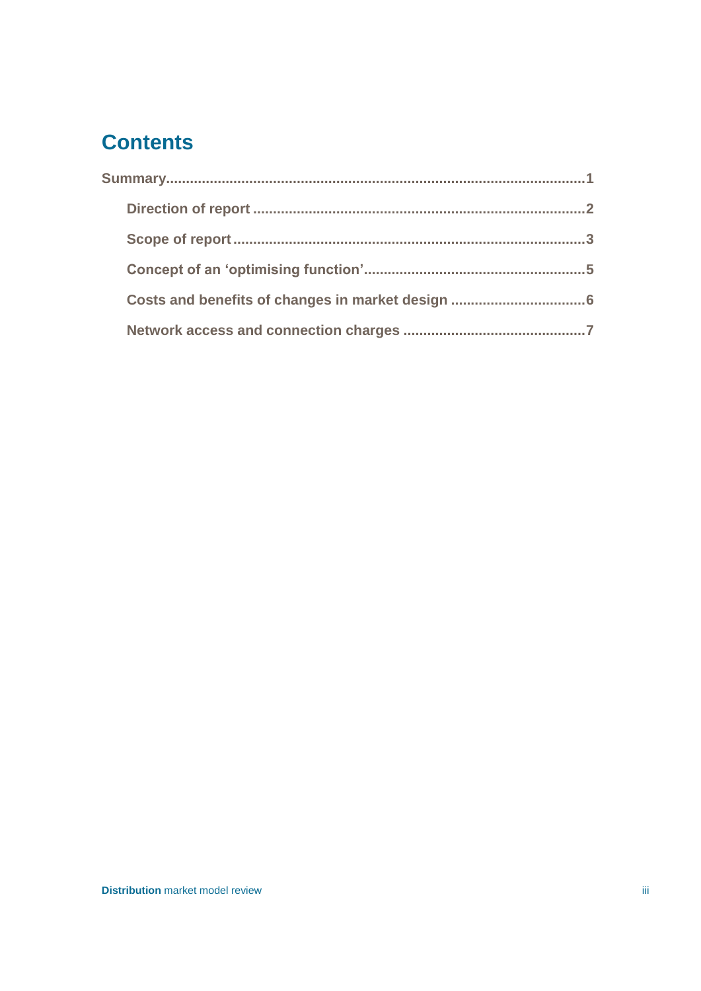## **Contents**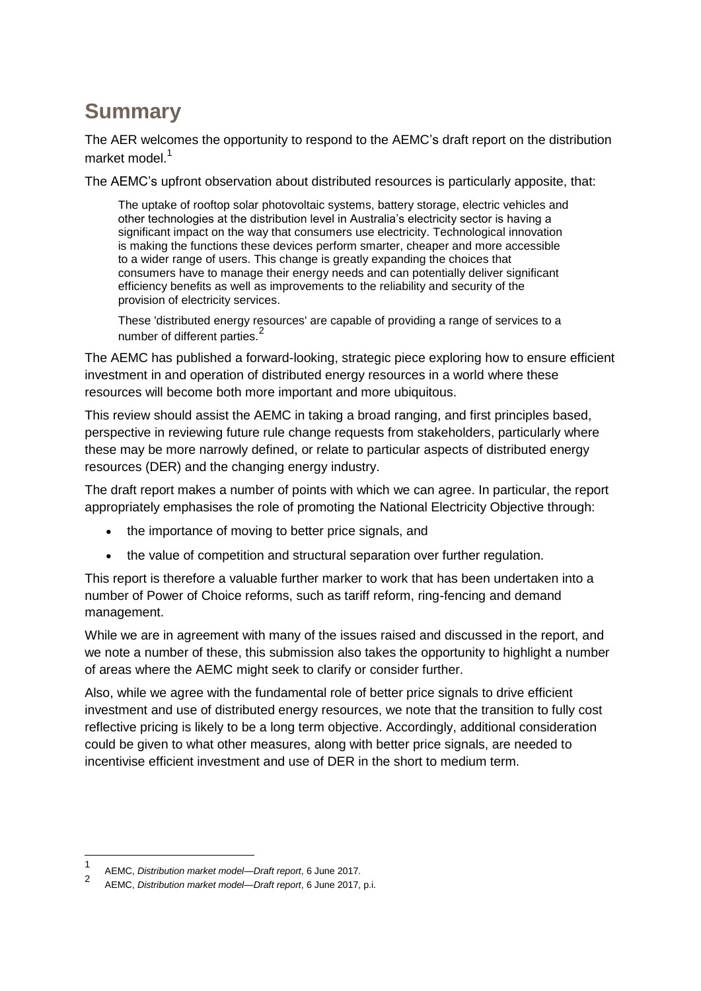## <span id="page-4-0"></span>**Summary**

The AER welcomes the opportunity to respond to the AEMC's draft report on the distribution market model.<sup>1</sup>

The AEMC's upfront observation about distributed resources is particularly apposite, that:

The uptake of rooftop solar photovoltaic systems, battery storage, electric vehicles and other technologies at the distribution level in Australia's electricity sector is having a significant impact on the way that consumers use electricity. Technological innovation is making the functions these devices perform smarter, cheaper and more accessible to a wider range of users. This change is greatly expanding the choices that consumers have to manage their energy needs and can potentially deliver significant efficiency benefits as well as improvements to the reliability and security of the provision of electricity services.

These 'distributed energy resources' are capable of providing a range of services to a number of different parties.<sup>2</sup>

The AEMC has published a forward-looking, strategic piece exploring how to ensure efficient investment in and operation of distributed energy resources in a world where these resources will become both more important and more ubiquitous.

This review should assist the AEMC in taking a broad ranging, and first principles based, perspective in reviewing future rule change requests from stakeholders, particularly where these may be more narrowly defined, or relate to particular aspects of distributed energy resources (DER) and the changing energy industry.

The draft report makes a number of points with which we can agree. In particular, the report appropriately emphasises the role of promoting the National Electricity Objective through:

- the importance of moving to better price signals, and
- the value of competition and structural separation over further regulation.

This report is therefore a valuable further marker to work that has been undertaken into a number of Power of Choice reforms, such as tariff reform, ring-fencing and demand management.

While we are in agreement with many of the issues raised and discussed in the report, and we note a number of these, this submission also takes the opportunity to highlight a number of areas where the AEMC might seek to clarify or consider further.

Also, while we agree with the fundamental role of better price signals to drive efficient investment and use of distributed energy resources, we note that the transition to fully cost reflective pricing is likely to be a long term objective. Accordingly, additional consideration could be given to what other measures, along with better price signals, are needed to incentivise efficient investment and use of DER in the short to medium term.

<sup>1</sup> AEMC, *Distribution market model—Draft report*, 6 June 2017.

<sup>2</sup> AEMC, *Distribution market model—Draft report*, 6 June 2017, p.i.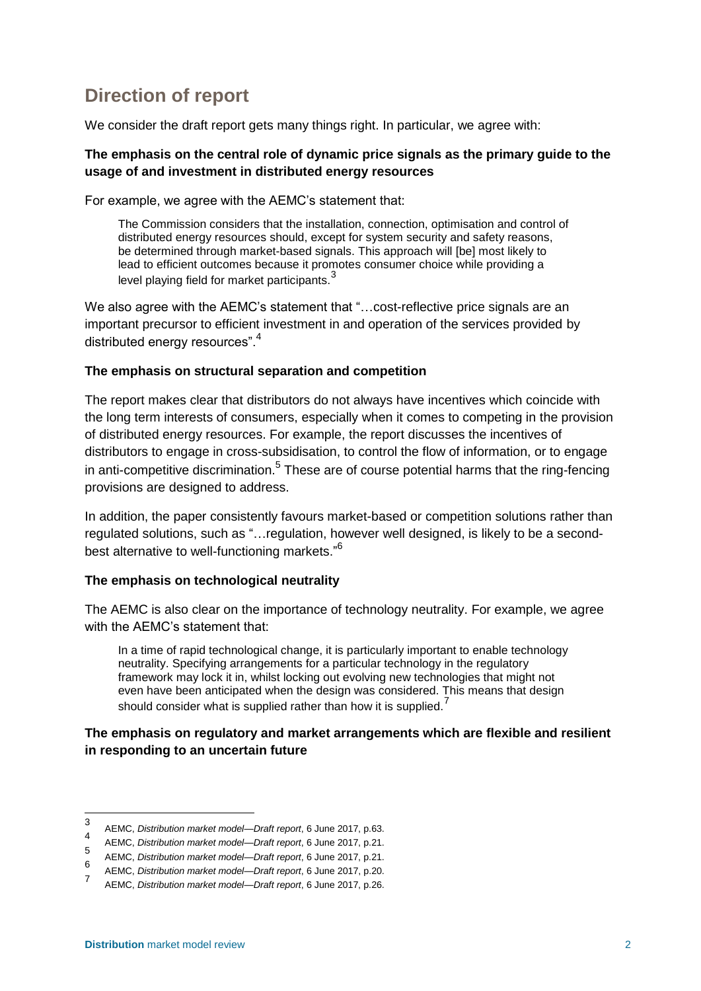## <span id="page-5-0"></span>**Direction of report**

We consider the draft report gets many things right. In particular, we agree with:

#### **The emphasis on the central role of dynamic price signals as the primary guide to the usage of and investment in distributed energy resources**

For example, we agree with the AEMC's statement that:

The Commission considers that the installation, connection, optimisation and control of distributed energy resources should, except for system security and safety reasons, be determined through market-based signals. This approach will [be] most likely to lead to efficient outcomes because it promotes consumer choice while providing a level playing field for market participants.<sup>3</sup>

We also agree with the AEMC's statement that "...cost-reflective price signals are an important precursor to efficient investment in and operation of the services provided by distributed energy resources".<sup>4</sup>

#### **The emphasis on structural separation and competition**

The report makes clear that distributors do not always have incentives which coincide with the long term interests of consumers, especially when it comes to competing in the provision of distributed energy resources. For example, the report discusses the incentives of distributors to engage in cross-subsidisation, to control the flow of information, or to engage in anti-competitive discrimination.<sup>5</sup> These are of course potential harms that the ring-fencing provisions are designed to address.

In addition, the paper consistently favours market-based or competition solutions rather than regulated solutions, such as "…regulation, however well designed, is likely to be a secondbest alternative to well-functioning markets."<sup>6</sup>

#### **The emphasis on technological neutrality**

The AEMC is also clear on the importance of technology neutrality. For example, we agree with the AEMC's statement that:

In a time of rapid technological change, it is particularly important to enable technology neutrality. Specifying arrangements for a particular technology in the regulatory framework may lock it in, whilst locking out evolving new technologies that might not even have been anticipated when the design was considered. This means that design should consider what is supplied rather than how it is supplied.<sup>7</sup>

#### **The emphasis on regulatory and market arrangements which are flexible and resilient in responding to an uncertain future**

<sup>3</sup> AEMC, *Distribution market model—Draft report*, 6 June 2017, p.63.

<sup>4</sup> AEMC, *Distribution market model—Draft report*, 6 June 2017, p.21.

<sup>5</sup> AEMC, *Distribution market model—Draft report*, 6 June 2017, p.21.

<sup>6</sup> AEMC, *Distribution market model—Draft report*, 6 June 2017, p.20.

<sup>7</sup> AEMC, *Distribution market model—Draft report*, 6 June 2017, p.26.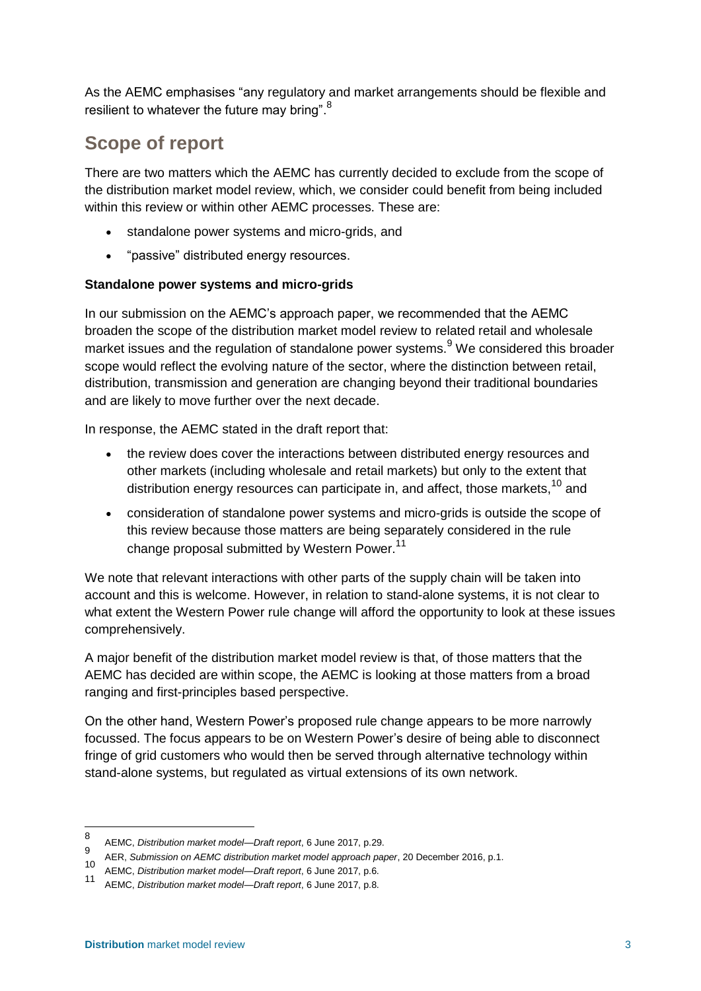As the AEMC emphasises "any regulatory and market arrangements should be flexible and resilient to whatever the future may bring".<sup>8</sup>

## <span id="page-6-0"></span>**Scope of report**

There are two matters which the AEMC has currently decided to exclude from the scope of the distribution market model review, which, we consider could benefit from being included within this review or within other AEMC processes. These are:

- standalone power systems and micro-grids, and
- "passive" distributed energy resources.

## **Standalone power systems and micro-grids**

In our submission on the AEMC's approach paper, we recommended that the AEMC broaden the scope of the distribution market model review to related retail and wholesale market issues and the regulation of standalone power systems.<sup>9</sup> We considered this broader scope would reflect the evolving nature of the sector, where the distinction between retail, distribution, transmission and generation are changing beyond their traditional boundaries and are likely to move further over the next decade.

In response, the AEMC stated in the draft report that:

- the review does cover the interactions between distributed energy resources and other markets (including wholesale and retail markets) but only to the extent that distribution energy resources can participate in, and affect, those markets,<sup>10</sup> and
- consideration of standalone power systems and micro-grids is outside the scope of this review because those matters are being separately considered in the rule change proposal submitted by Western Power.<sup>11</sup>

We note that relevant interactions with other parts of the supply chain will be taken into account and this is welcome. However, in relation to stand-alone systems, it is not clear to what extent the Western Power rule change will afford the opportunity to look at these issues comprehensively.

A major benefit of the distribution market model review is that, of those matters that the AEMC has decided are within scope, the AEMC is looking at those matters from a broad ranging and first-principles based perspective.

On the other hand, Western Power's proposed rule change appears to be more narrowly focussed. The focus appears to be on Western Power's desire of being able to disconnect fringe of grid customers who would then be served through alternative technology within stand-alone systems, but regulated as virtual extensions of its own network.

<sup>8</sup> AEMC, *Distribution market model—Draft report*, 6 June 2017, p.29. 9

AER, *Submission on AEMC distribution market model approach paper*, 20 December 2016, p.1. <sup>10</sup> AEMC, *Distribution market model—Draft report*, 6 June 2017, p.6.

<sup>11</sup> AEMC, *Distribution market model—Draft report*, 6 June 2017, p.8.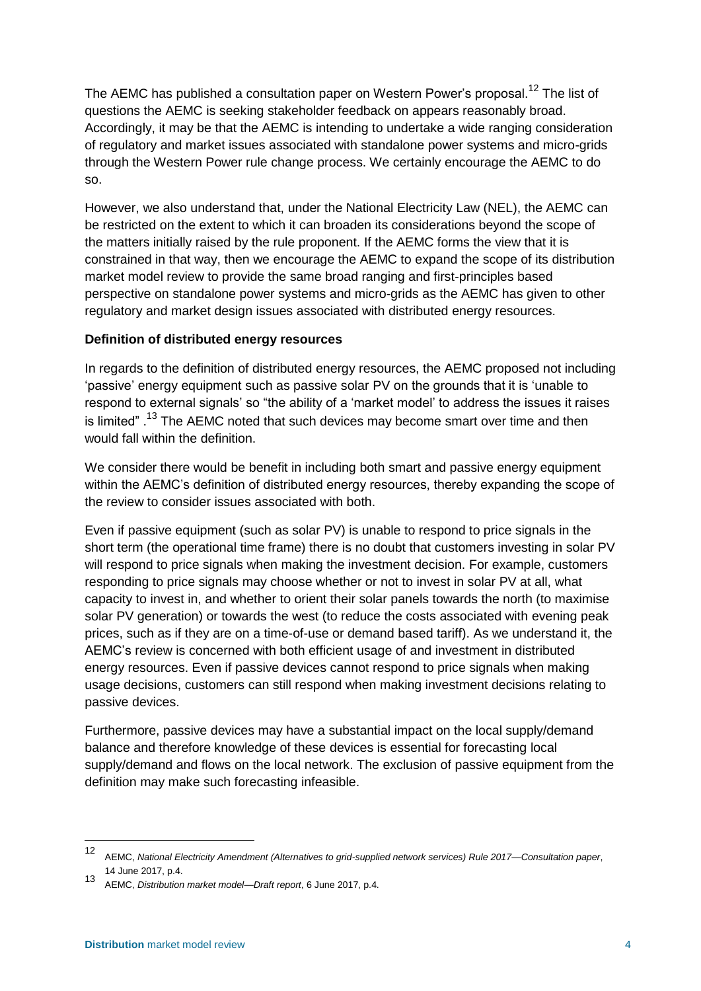The AEMC has published a consultation paper on Western Power's proposal.<sup>12</sup> The list of questions the AEMC is seeking stakeholder feedback on appears reasonably broad. Accordingly, it may be that the AEMC is intending to undertake a wide ranging consideration of regulatory and market issues associated with standalone power systems and micro-grids through the Western Power rule change process. We certainly encourage the AEMC to do so.

However, we also understand that, under the National Electricity Law (NEL), the AEMC can be restricted on the extent to which it can broaden its considerations beyond the scope of the matters initially raised by the rule proponent. If the AEMC forms the view that it is constrained in that way, then we encourage the AEMC to expand the scope of its distribution market model review to provide the same broad ranging and first-principles based perspective on standalone power systems and micro-grids as the AEMC has given to other regulatory and market design issues associated with distributed energy resources.

#### **Definition of distributed energy resources**

In regards to the definition of distributed energy resources, the AEMC proposed not including 'passive' energy equipment such as passive solar PV on the grounds that it is 'unable to respond to external signals' so "the ability of a 'market model' to address the issues it raises is limited".<sup>13</sup> The AEMC noted that such devices may become smart over time and then would fall within the definition.

We consider there would be benefit in including both smart and passive energy equipment within the AEMC's definition of distributed energy resources, thereby expanding the scope of the review to consider issues associated with both.

Even if passive equipment (such as solar PV) is unable to respond to price signals in the short term (the operational time frame) there is no doubt that customers investing in solar PV will respond to price signals when making the investment decision. For example, customers responding to price signals may choose whether or not to invest in solar PV at all, what capacity to invest in, and whether to orient their solar panels towards the north (to maximise solar PV generation) or towards the west (to reduce the costs associated with evening peak prices, such as if they are on a time-of-use or demand based tariff). As we understand it, the AEMC's review is concerned with both efficient usage of and investment in distributed energy resources. Even if passive devices cannot respond to price signals when making usage decisions, customers can still respond when making investment decisions relating to passive devices.

Furthermore, passive devices may have a substantial impact on the local supply/demand balance and therefore knowledge of these devices is essential for forecasting local supply/demand and flows on the local network. The exclusion of passive equipment from the definition may make such forecasting infeasible.

<span id="page-7-0"></span><sup>12</sup> AEMC, *National Electricity Amendment (Alternatives to grid-supplied network services) Rule 2017—Consultation paper*,

<sup>14</sup> June 2017, p.4. <sup>13</sup> AEMC, *Distribution market model—Draft report*, 6 June 2017, p.4.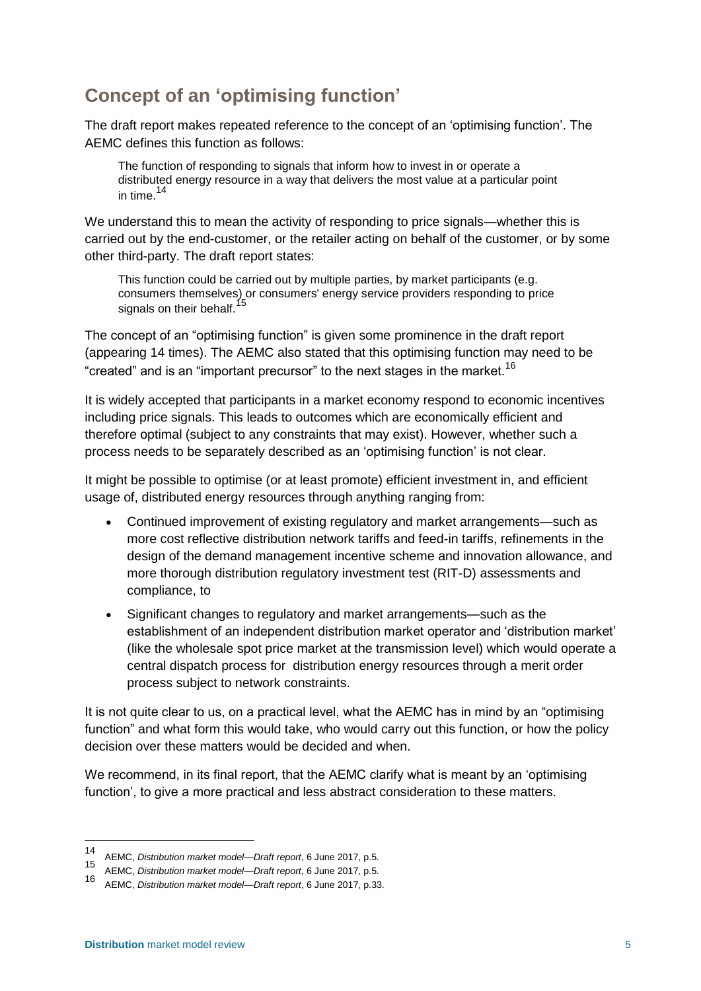## **Concept of an 'optimising function'**

The draft report makes repeated reference to the concept of an 'optimising function'. The AEMC defines this function as follows:

The function of responding to signals that inform how to invest in or operate a distributed energy resource in a way that delivers the most value at a particular point in time.  $14$ 

We understand this to mean the activity of responding to price signals—whether this is carried out by the end-customer, or the retailer acting on behalf of the customer, or by some other third-party. The draft report states:

This function could be carried out by multiple parties, by market participants (e.g. consumers themselves) or consumers' energy service providers responding to price signals on their behalf.<sup>15</sup>

The concept of an "optimising function" is given some prominence in the draft report (appearing 14 times). The AEMC also stated that this optimising function may need to be "created" and is an "important precursor" to the next stages in the market.<sup>16</sup>

It is widely accepted that participants in a market economy respond to economic incentives including price signals. This leads to outcomes which are economically efficient and therefore optimal (subject to any constraints that may exist). However, whether such a process needs to be separately described as an 'optimising function' is not clear.

It might be possible to optimise (or at least promote) efficient investment in, and efficient usage of, distributed energy resources through anything ranging from:

- Continued improvement of existing regulatory and market arrangements—such as more cost reflective distribution network tariffs and feed-in tariffs, refinements in the design of the demand management incentive scheme and innovation allowance, and more thorough distribution regulatory investment test (RIT-D) assessments and compliance, to
- Significant changes to regulatory and market arrangements—such as the establishment of an independent distribution market operator and 'distribution market' (like the wholesale spot price market at the transmission level) which would operate a central dispatch process for distribution energy resources through a merit order process subject to network constraints.

It is not quite clear to us, on a practical level, what the AEMC has in mind by an "optimising function" and what form this would take, who would carry out this function, or how the policy decision over these matters would be decided and when.

We recommend, in its final report, that the AEMC clarify what is meant by an 'optimising function', to give a more practical and less abstract consideration to these matters.

<sup>14</sup> AEMC, *Distribution market model—Draft report*, 6 June 2017, p.5.

<sup>15</sup> AEMC, *Distribution market model—Draft report*, 6 June 2017, p.5.

<sup>16</sup> AEMC, *Distribution market model—Draft report*, 6 June 2017, p.33.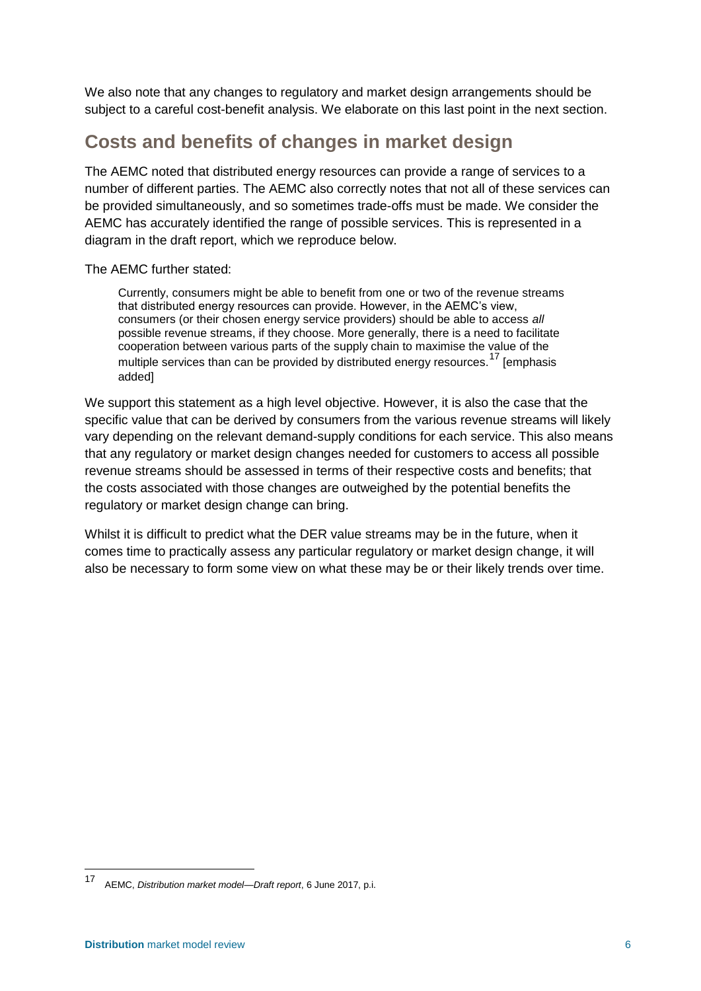We also note that any changes to regulatory and market design arrangements should be subject to a careful cost-benefit analysis. We elaborate on this last point in the next section.

## <span id="page-9-0"></span>**Costs and benefits of changes in market design**

The AEMC noted that distributed energy resources can provide a range of services to a number of different parties. The AEMC also correctly notes that not all of these services can be provided simultaneously, and so sometimes trade-offs must be made. We consider the AEMC has accurately identified the range of possible services. This is represented in a diagram in the draft report, which we reproduce below.

The AEMC further stated:

Currently, consumers might be able to benefit from one or two of the revenue streams that distributed energy resources can provide. However, in the AEMC's view, consumers (or their chosen energy service providers) should be able to access *all* possible revenue streams, if they choose. More generally, there is a need to facilitate cooperation between various parts of the supply chain to maximise the value of the multiple services than can be provided by distributed energy resources.<sup>17</sup> [emphasis added]

We support this statement as a high level objective. However, it is also the case that the specific value that can be derived by consumers from the various revenue streams will likely vary depending on the relevant demand-supply conditions for each service. This also means that any regulatory or market design changes needed for customers to access all possible revenue streams should be assessed in terms of their respective costs and benefits; that the costs associated with those changes are outweighed by the potential benefits the regulatory or market design change can bring.

Whilst it is difficult to predict what the DER value streams may be in the future, when it comes time to practically assess any particular regulatory or market design change, it will also be necessary to form some view on what these may be or their likely trends over time.

<sup>17</sup> AEMC, *Distribution market model—Draft report*, 6 June 2017, p.i.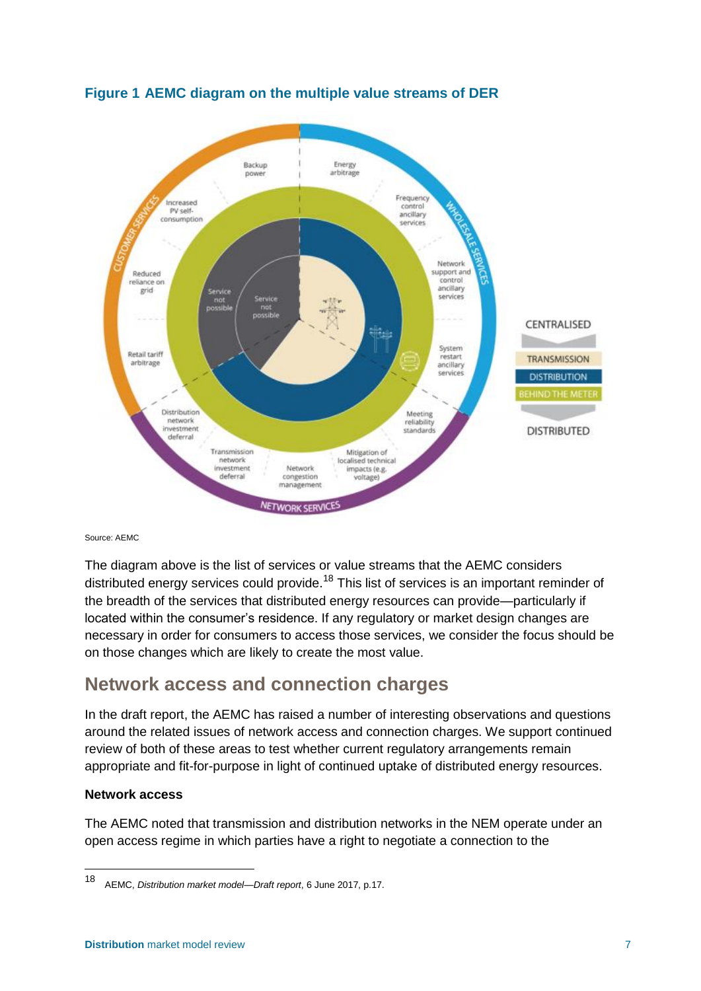

## **Figure 1 AEMC diagram on the multiple value streams of DER**

Source: AEMC

The diagram above is the list of services or value streams that the AEMC considers distributed energy services could provide.<sup>18</sup> This list of services is an important reminder of the breadth of the services that distributed energy resources can provide—particularly if located within the consumer's residence. If any regulatory or market design changes are necessary in order for consumers to access those services, we consider the focus should be on those changes which are likely to create the most value.

## <span id="page-10-0"></span>**Network access and connection charges**

In the draft report, the AEMC has raised a number of interesting observations and questions around the related issues of network access and connection charges. We support continued review of both of these areas to test whether current regulatory arrangements remain appropriate and fit-for-purpose in light of continued uptake of distributed energy resources.

#### **Network access**

-

The AEMC noted that transmission and distribution networks in the NEM operate under an open access regime in which parties have a right to negotiate a connection to the

<sup>18</sup> AEMC, *Distribution market model—Draft report*, 6 June 2017, p.17.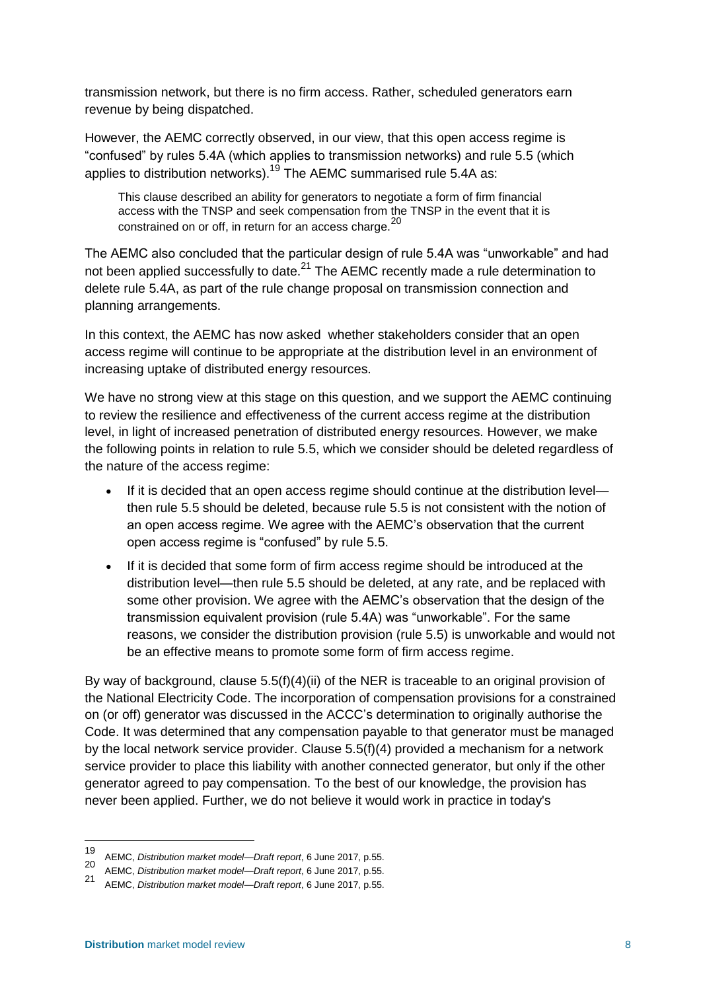transmission network, but there is no firm access. Rather, scheduled generators earn revenue by being dispatched.

However, the AEMC correctly observed, in our view, that this open access regime is "confused" by rules 5.4A (which applies to transmission networks) and rule 5.5 (which applies to distribution networks).<sup>19</sup> The AEMC summarised rule 5.4A as:

This clause described an ability for generators to negotiate a form of firm financial access with the TNSP and seek compensation from the TNSP in the event that it is constrained on or off, in return for an access charge.<sup>20</sup>

The AEMC also concluded that the particular design of rule 5.4A was "unworkable" and had not been applied successfully to date.<sup>21</sup> The AEMC recently made a rule determination to delete rule 5.4A, as part of the rule change proposal on transmission connection and planning arrangements.

In this context, the AEMC has now asked whether stakeholders consider that an open access regime will continue to be appropriate at the distribution level in an environment of increasing uptake of distributed energy resources.

We have no strong view at this stage on this question, and we support the AEMC continuing to review the resilience and effectiveness of the current access regime at the distribution level, in light of increased penetration of distributed energy resources. However, we make the following points in relation to rule 5.5, which we consider should be deleted regardless of the nature of the access regime:

- If it is decided that an open access regime should continue at the distribution level then rule 5.5 should be deleted, because rule 5.5 is not consistent with the notion of an open access regime. We agree with the AEMC's observation that the current open access regime is "confused" by rule 5.5.
- If it is decided that some form of firm access regime should be introduced at the distribution level—then rule 5.5 should be deleted, at any rate, and be replaced with some other provision. We agree with the AEMC's observation that the design of the transmission equivalent provision (rule 5.4A) was "unworkable". For the same reasons, we consider the distribution provision (rule 5.5) is unworkable and would not be an effective means to promote some form of firm access regime.

By way of background, clause 5.5(f)(4)(ii) of the NER is traceable to an original provision of the National Electricity Code. The incorporation of compensation provisions for a constrained on (or off) generator was discussed in the ACCC's determination to originally authorise the Code. It was determined that any compensation payable to that generator must be managed by the local network service provider. Clause 5.5(f)(4) provided a mechanism for a network service provider to place this liability with another connected generator, but only if the other generator agreed to pay compensation. To the best of our knowledge, the provision has never been applied. Further, we do not believe it would work in practice in today's

<sup>19</sup> <sup>19</sup> AEMC, *Distribution market model—Draft report*, 6 June 2017, p.55.

<sup>20</sup> AEMC, *Distribution market model—Draft report*, 6 June 2017, p.55.

<sup>21</sup> AEMC, *Distribution market model—Draft report*, 6 June 2017, p.55.